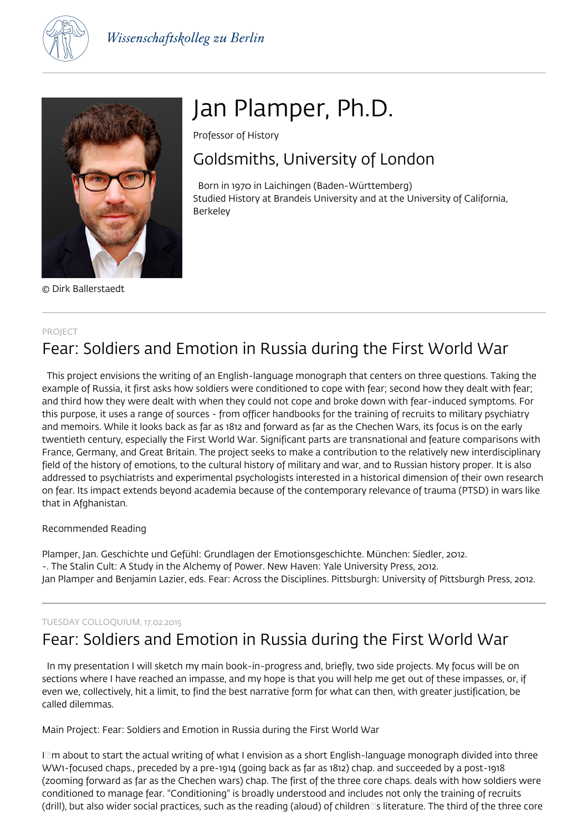



© Dirk Ballerstaedt

# Jan Plamper, Ph.D.

Professor of History

## Goldsmiths, University of London

 Born in 1970 in Laichingen (Baden-Württemberg) Studied History at Brandeis University and at the University of California, Berkeley

#### PROJECT

## Fear: Soldiers and Emotion in Russia during the First World War

 This project envisions the writing of an English-language monograph that centers on three questions. Taking the example of Russia, it first asks how soldiers were conditioned to cope with fear; second how they dealt with fear; and third how they were dealt with when they could not cope and broke down with fear-induced symptoms. For this purpose, it uses a range of sources - from officer handbooks for the training of recruits to military psychiatry and memoirs. While it looks back as far as 1812 and forward as far as the Chechen Wars, its focus is on the early twentieth century, especially the First World War. Significant parts are transnational and feature comparisons with France, Germany, and Great Britain. The project seeks to make a contribution to the relatively new interdisciplinary field of the history of emotions, to the cultural history of military and war, and to Russian history proper. It is also addressed to psychiatrists and experimental psychologists interested in a historical dimension of their own research on fear. Its impact extends beyond academia because of the contemporary relevance of trauma (PTSD) in wars like that in Afghanistan.

### Recommended Reading

Plamper, Jan. Geschichte und Gefühl: Grundlagen der Emotionsgeschichte. München: Siedler, 2012. -. The Stalin Cult: A Study in the Alchemy of Power. New Haven: Yale University Press, 2012. Jan Plamper and Benjamin Lazier, eds. Fear: Across the Disciplines. Pittsburgh: University of Pittsburgh Press, 2012.

### TUESDAY COLLOQUIUM, 17.02.2015

## Fear: Soldiers and Emotion in Russia during the First World War

 In my presentation I will sketch my main book-in-progress and, briefly, two side projects. My focus will be on sections where I have reached an impasse, and my hope is that you will help me get out of these impasses, or, if even we, collectively, hit a limit, to find the best narrative form for what can then, with greater justification, be called dilemmas.

Main Project: Fear: Soldiers and Emotion in Russia during the First World War

IIm about to start the actual writing of what I envision as a short English-language monograph divided into three WW1-focused chaps., preceded by a pre-1914 (going back as far as 1812) chap. and succeeded by a post-1918 (zooming forward as far as the Chechen wars) chap. The first of the three core chaps. deals with how soldiers were conditioned to manage fear. "Conditioning" is broadly understood and includes not only the training of recruits (drill), but also wider social practices, such as the reading (aloud) of children@s literature. The third of the three core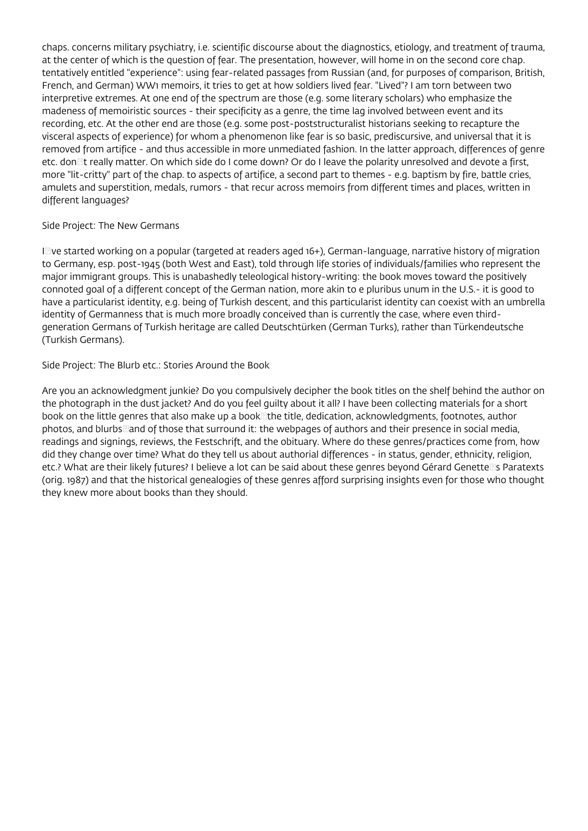chaps. concerns military psychiatry, i.e. scientific discourse about the diagnostics, etiology, and treatment of trauma, at the center of which is the question of fear. The presentation, however, will home in on the second core chap. tentatively entitled "experience": using fear-related passages from Russian (and, for purposes of comparison, British, French, and German) WW1 memoirs, it tries to get at how soldiers lived fear. "Lived"? I am torn between two interpretive extremes. At one end of the spectrum are those (e.g. some literary scholars) who emphasize the madeness of memoiristic sources - their specificity as a genre, the time lag involved between event and its recording, etc. At the other end are those (e.g. some post-poststructuralist historians seeking to recapture the visceral aspects of experience) for whom a phenomenon like fear is so basic, prediscursive, and universal that it is removed from artifice - and thus accessible in more unmediated fashion. In the latter approach, differences of genre etc. don It really matter. On which side do I come down? Or do I leave the polarity unresolved and devote a first, more "lit-critty" part of the chap. to aspects of artifice, a second part to themes - e.g. baptism by fire, battle cries, amulets and superstition, medals, rumors - that recur across memoirs from different times and places, written in different languages?

#### Side Project: The New Germans

Izve started working on a popular (targeted at readers aged 16+), German-language, narrative history of migration to Germany, esp. post-1945 (both West and East), told through life stories of individuals/families who represent the major immigrant groups. This is unabashedly teleological history-writing: the book moves toward the positively connoted goal of a different concept of the German nation, more akin to e pluribus unum in the U.S.- it is good to have a particularist identity, e.g. being of Turkish descent, and this particularist identity can coexist with an umbrella identity of Germanness that is much more broadly conceived than is currently the case, where even thirdgeneration Germans of Turkish heritage are called Deutschtürken (German Turks), rather than Türkendeutsche (Turkish Germans).

#### Side Project: The Blurb etc.: Stories Around the Book

Are you an acknowledgment junkie? Do you compulsively decipher the book titles on the shelf behind the author on the photograph in the dust jacket? And do you feel guilty about it all? I have been collecting materials for a short book on the little genres that also make up a book<br>  $\exists$  the title, dedication, acknowledgments, footnotes, author photos, and blurbs and of those that surround it: the webpages of authors and their presence in social media, readings and signings, reviews, the Festschrift, and the obituary. Where do these genres/practices come from, how did they change over time? What do they tell us about authorial differences - in status, gender, ethnicity, religion, etc.? What are their likely futures? I believe a lot can be said about these genres beyond Gérard Genettells Paratexts (orig. 1987) and that the historical genealogies of these genres afford surprising insights even for those who thought they knew more about books than they should.